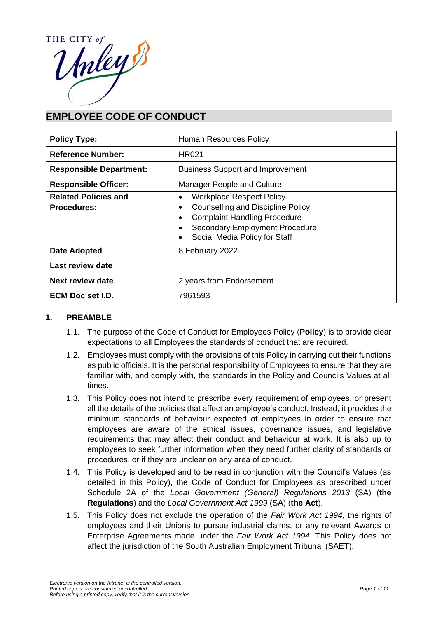

# **EMPLOYEE CODE OF CONDUCT**

| <b>Policy Type:</b>                               | Human Resources Policy                                                                                                                                                                            |  |
|---------------------------------------------------|---------------------------------------------------------------------------------------------------------------------------------------------------------------------------------------------------|--|
| <b>Reference Number:</b>                          | HR021                                                                                                                                                                                             |  |
| <b>Responsible Department:</b>                    | <b>Business Support and Improvement</b>                                                                                                                                                           |  |
| <b>Responsible Officer:</b>                       | Manager People and Culture                                                                                                                                                                        |  |
| <b>Related Policies and</b><br><b>Procedures:</b> | <b>Workplace Respect Policy</b><br>٠<br><b>Counselling and Discipline Policy</b><br><b>Complaint Handling Procedure</b><br><b>Secondary Employment Procedure</b><br>Social Media Policy for Staff |  |
| <b>Date Adopted</b>                               | 8 February 2022                                                                                                                                                                                   |  |
| Last review date                                  |                                                                                                                                                                                                   |  |
| <b>Next review date</b>                           | 2 years from Endorsement                                                                                                                                                                          |  |
| ECM Doc set I.D.                                  | 7961593                                                                                                                                                                                           |  |

# **1. PREAMBLE**

- 1.1. The purpose of the Code of Conduct for Employees Policy (**Policy**) is to provide clear expectations to all Employees the standards of conduct that are required.
- 1.2. Employees must comply with the provisions of this Policy in carrying out their functions as public officials. It is the personal responsibility of Employees to ensure that they are familiar with, and comply with, the standards in the Policy and Councils Values at all times.
- 1.3. This Policy does not intend to prescribe every requirement of employees, or present all the details of the policies that affect an employee's conduct. Instead, it provides the minimum standards of behaviour expected of employees in order to ensure that employees are aware of the ethical issues, governance issues, and legislative requirements that may affect their conduct and behaviour at work. It is also up to employees to seek further information when they need further clarity of standards or procedures, or if they are unclear on any area of conduct.
- 1.4. This Policy is developed and to be read in conjunction with the Council's Values (as detailed in this Policy), the Code of Conduct for Employees as prescribed under Schedule 2A of the *Local Government (General) Regulations 2013* (SA) (**the Regulations**) and the *Local Government Act 1999* (SA) (**the Act**).
- 1.5. This Policy does not exclude the operation of the *Fair Work Act 1994*, the rights of employees and their Unions to pursue industrial claims, or any relevant Awards or Enterprise Agreements made under the *Fair Work Act 1994*. This Policy does not affect the jurisdiction of the South Australian Employment Tribunal (SAET).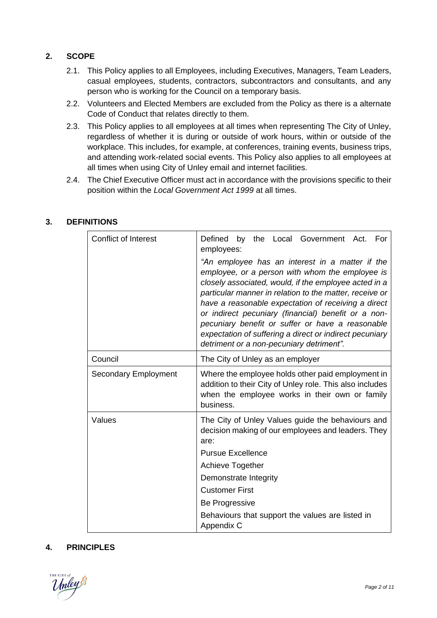# **2. SCOPE**

- 2.1. This Policy applies to all Employees, including Executives, Managers, Team Leaders, casual employees, students, contractors, subcontractors and consultants, and any person who is working for the Council on a temporary basis.
- 2.2. Volunteers and Elected Members are excluded from the Policy as there is a alternate Code of Conduct that relates directly to them.
- 2.3. This Policy applies to all employees at all times when representing The City of Unley, regardless of whether it is during or outside of work hours, within or outside of the workplace. This includes, for example, at conferences, training events, business trips, and attending work-related social events. This Policy also applies to all employees at all times when using City of Unley email and internet facilities.
- 2.4. The Chief Executive Officer must act in accordance with the provisions specific to their position within the *Local Government Act 1999* at all times.

| <b>Conflict of Interest</b> | Defined by the Local Government Act. For<br>employees:<br>"An employee has an interest in a matter if the<br>employee, or a person with whom the employee is<br>closely associated, would, if the employee acted in a<br>particular manner in relation to the matter, receive or<br>have a reasonable expectation of receiving a direct<br>or indirect pecuniary (financial) benefit or a non-<br>pecuniary benefit or suffer or have a reasonable<br>expectation of suffering a direct or indirect pecuniary<br>detriment or a non-pecuniary detriment". |  |  |
|-----------------------------|-----------------------------------------------------------------------------------------------------------------------------------------------------------------------------------------------------------------------------------------------------------------------------------------------------------------------------------------------------------------------------------------------------------------------------------------------------------------------------------------------------------------------------------------------------------|--|--|
| Council                     | The City of Unley as an employer                                                                                                                                                                                                                                                                                                                                                                                                                                                                                                                          |  |  |
| <b>Secondary Employment</b> | Where the employee holds other paid employment in<br>addition to their City of Unley role. This also includes<br>when the employee works in their own or family<br>business.                                                                                                                                                                                                                                                                                                                                                                              |  |  |
| Values                      | The City of Unley Values guide the behaviours and<br>decision making of our employees and leaders. They<br>are:<br><b>Pursue Excellence</b><br><b>Achieve Together</b><br>Demonstrate Integrity<br><b>Customer First</b>                                                                                                                                                                                                                                                                                                                                  |  |  |
|                             |                                                                                                                                                                                                                                                                                                                                                                                                                                                                                                                                                           |  |  |
|                             |                                                                                                                                                                                                                                                                                                                                                                                                                                                                                                                                                           |  |  |
|                             |                                                                                                                                                                                                                                                                                                                                                                                                                                                                                                                                                           |  |  |
|                             |                                                                                                                                                                                                                                                                                                                                                                                                                                                                                                                                                           |  |  |
|                             | Be Progressive                                                                                                                                                                                                                                                                                                                                                                                                                                                                                                                                            |  |  |
|                             | Behaviours that support the values are listed in<br>Appendix C                                                                                                                                                                                                                                                                                                                                                                                                                                                                                            |  |  |

# **3. DEFINITIONS**

# **4. PRINCIPLES**

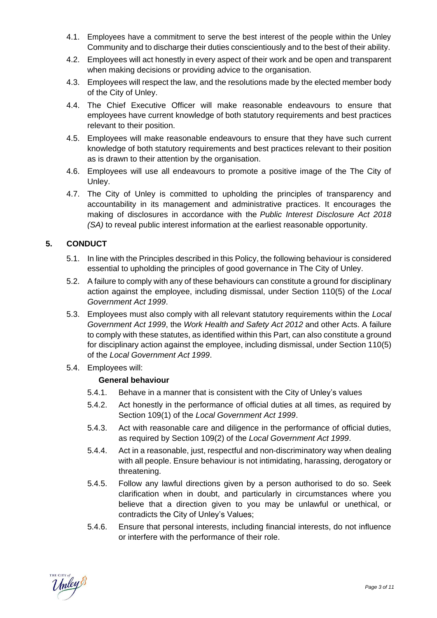- 4.1. Employees have a commitment to serve the best interest of the people within the Unley Community and to discharge their duties conscientiously and to the best of their ability.
- 4.2. Employees will act honestly in every aspect of their work and be open and transparent when making decisions or providing advice to the organisation.
- 4.3. Employees will respect the law, and the resolutions made by the elected member body of the City of Unley.
- 4.4. The Chief Executive Officer will make reasonable endeavours to ensure that employees have current knowledge of both statutory requirements and best practices relevant to their position.
- 4.5. Employees will make reasonable endeavours to ensure that they have such current knowledge of both statutory requirements and best practices relevant to their position as is drawn to their attention by the organisation.
- 4.6. Employees will use all endeavours to promote a positive image of the The City of Unley.
- 4.7. The City of Unley is committed to upholding the principles of transparency and accountability in its management and administrative practices. It encourages the making of disclosures in accordance with the *Public Interest Disclosure Act 2018 (SA)* to reveal public interest information at the earliest reasonable opportunity.

# **5. CONDUCT**

- 5.1. In line with the Principles described in this Policy, the following behaviour is considered essential to upholding the principles of good governance in The City of Unley.
- 5.2. A failure to comply with any of these behaviours can constitute a ground for disciplinary action against the employee, including dismissal, under Section 110(5) of the *Local Government Act 1999*.
- 5.3. Employees must also comply with all relevant statutory requirements within the *Local Government Act 1999*, the *Work Health and Safety Act 2012* and other Acts. A failure to comply with these statutes, as identified within this Part, can also constitute a ground for disciplinary action against the employee, including dismissal, under Section 110(5) of the *Local Government Act 1999*.
- 5.4. Employees will:

# **General behaviour**

- 5.4.1. Behave in a manner that is consistent with the City of Unley's values
- 5.4.2. Act honestly in the performance of official duties at all times, as required by Section 109(1) of the *Local Government Act 1999*.
- 5.4.3. Act with reasonable care and diligence in the performance of official duties, as required by Section 109(2) of the *Local Government Act 1999*.
- 5.4.4. Act in a reasonable, just, respectful and non-discriminatory way when dealing with all people. Ensure behaviour is not intimidating, harassing, derogatory or threatening.
- 5.4.5. Follow any lawful directions given by a person authorised to do so. Seek clarification when in doubt, and particularly in circumstances where you believe that a direction given to you may be unlawful or unethical, or contradicts the City of Unley's Values;
- 5.4.6. Ensure that personal interests, including financial interests, do not influence or interfere with the performance of their role.

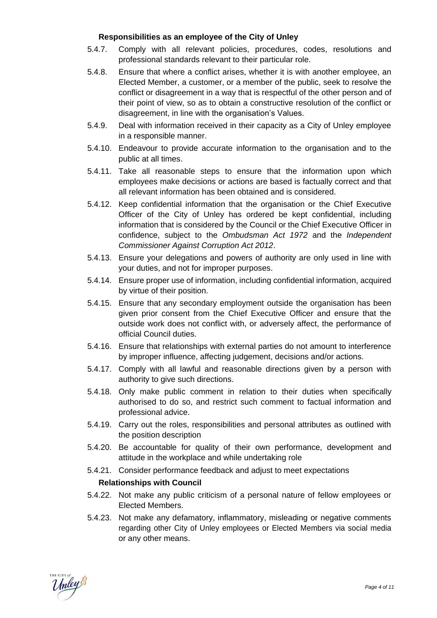### **Responsibilities as an employee of the City of Unley**

- 5.4.7. Comply with all relevant policies, procedures, codes, resolutions and professional standards relevant to their particular role.
- 5.4.8. Ensure that where a conflict arises, whether it is with another employee, an Elected Member, a customer, or a member of the public, seek to resolve the conflict or disagreement in a way that is respectful of the other person and of their point of view, so as to obtain a constructive resolution of the conflict or disagreement, in line with the organisation's Values.
- 5.4.9. Deal with information received in their capacity as a City of Unley employee in a responsible manner.
- 5.4.10. Endeavour to provide accurate information to the organisation and to the public at all times.
- 5.4.11. Take all reasonable steps to ensure that the information upon which employees make decisions or actions are based is factually correct and that all relevant information has been obtained and is considered.
- 5.4.12. Keep confidential information that the organisation or the Chief Executive Officer of the City of Unley has ordered be kept confidential, including information that is considered by the Council or the Chief Executive Officer in confidence, subject to the *Ombudsman Act 1972* and the *Independent Commissioner Against Corruption Act 2012*.
- 5.4.13. Ensure your delegations and powers of authority are only used in line with your duties, and not for improper purposes.
- 5.4.14. Ensure proper use of information, including confidential information, acquired by virtue of their position.
- 5.4.15. Ensure that any secondary employment outside the organisation has been given prior consent from the Chief Executive Officer and ensure that the outside work does not conflict with, or adversely affect, the performance of official Council duties.
- 5.4.16. Ensure that relationships with external parties do not amount to interference by improper influence, affecting judgement, decisions and/or actions.
- 5.4.17. Comply with all lawful and reasonable directions given by a person with authority to give such directions.
- 5.4.18. Only make public comment in relation to their duties when specifically authorised to do so, and restrict such comment to factual information and professional advice.
- 5.4.19. Carry out the roles, responsibilities and personal attributes as outlined with the position description
- 5.4.20. Be accountable for quality of their own performance, development and attitude in the workplace and while undertaking role
- 5.4.21. Consider performance feedback and adjust to meet expectations

### **Relationships with Council**

- 5.4.22. Not make any public criticism of a personal nature of fellow employees or Elected Members.
- 5.4.23. Not make any defamatory, inflammatory, misleading or negative comments regarding other City of Unley employees or Elected Members via social media or any other means.

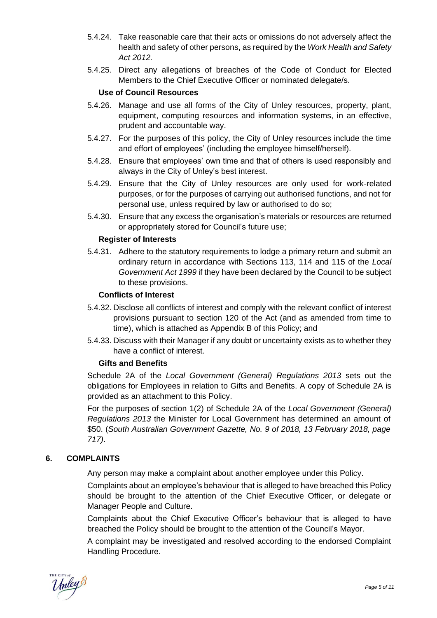- 5.4.24. Take reasonable care that their acts or omissions do not adversely affect the health and safety of other persons, as required by the *Work Health and Safety Act 2012.*
- 5.4.25. Direct any allegations of breaches of the Code of Conduct for Elected Members to the Chief Executive Officer or nominated delegate/s.

## **Use of Council Resources**

- 5.4.26. Manage and use all forms of the City of Unley resources, property, plant, equipment, computing resources and information systems, in an effective, prudent and accountable way.
- 5.4.27. For the purposes of this policy, the City of Unley resources include the time and effort of employees' (including the employee himself/herself).
- 5.4.28. Ensure that employees' own time and that of others is used responsibly and always in the City of Unley's best interest.
- 5.4.29. Ensure that the City of Unley resources are only used for work-related purposes, or for the purposes of carrying out authorised functions, and not for personal use, unless required by law or authorised to do so;
- 5.4.30. Ensure that any excess the organisation's materials or resources are returned or appropriately stored for Council's future use;

### **Register of Interests**

5.4.31. Adhere to the statutory requirements to lodge a primary return and submit an ordinary return in accordance with Sections 113, 114 and 115 of the *Local Government Act 1999* if they have been declared by the Council to be subject to these provisions.

#### **Conflicts of Interest**

- 5.4.32. Disclose all conflicts of interest and comply with the relevant conflict of interest provisions pursuant to section 120 of the Act (and as amended from time to time), which is attached as Appendix B of this Policy; and
- 5.4.33. Discuss with their Manager if any doubt or uncertainty exists as to whether they have a conflict of interest.

### **Gifts and Benefits**

Schedule 2A of the *Local Government (General) Regulations 2013* sets out the obligations for Employees in relation to Gifts and Benefits. A copy of Schedule 2A is provided as an attachment to this Policy.

For the purposes of section 1(2) of Schedule 2A of the *Local Government (General) Regulations 2013* the Minister for Local Government has determined an amount of \$50. (*South Australian Government Gazette, No. 9 of 2018, 13 February 2018, page 717)*.

### **6. COMPLAINTS**

Any person may make a complaint about another employee under this Policy.

Complaints about an employee's behaviour that is alleged to have breached this Policy should be brought to the attention of the Chief Executive Officer, or delegate or Manager People and Culture.

Complaints about the Chief Executive Officer's behaviour that is alleged to have breached the Policy should be brought to the attention of the Council's Mayor.

A complaint may be investigated and resolved according to the endorsed Complaint Handling Procedure.

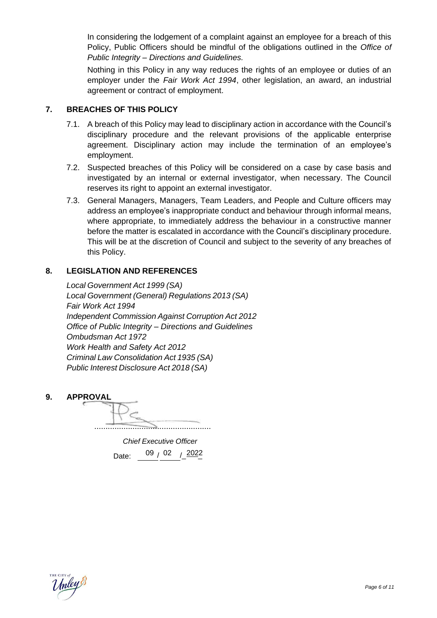In considering the lodgement of a complaint against an employee for a breach of this Policy, Public Officers should be mindful of the obligations outlined in the *Office of Public Integrity – Directions and Guidelines.*

Nothing in this Policy in any way reduces the rights of an employee or duties of an employer under the *Fair Work Act 1994*, other legislation, an award, an industrial agreement or contract of employment.

## **7. BREACHES OF THIS POLICY**

- 7.1. A breach of this Policy may lead to disciplinary action in accordance with the Council's disciplinary procedure and the relevant provisions of the applicable enterprise agreement. Disciplinary action may include the termination of an employee's employment.
- 7.2. Suspected breaches of this Policy will be considered on a case by case basis and investigated by an internal or external investigator, when necessary. The Council reserves its right to appoint an external investigator.
- 7.3. General Managers, Managers, Team Leaders, and People and Culture officers may address an employee's inappropriate conduct and behaviour through informal means, where appropriate, to immediately address the behaviour in a constructive manner before the matter is escalated in accordance with the Council's disciplinary procedure. This will be at the discretion of Council and subject to the severity of any breaches of this Policy.

## **8. LEGISLATION AND REFERENCES**

*Local Government Act 1999 (SA) Local Government (General) Regulations 2013 (SA) Fair Work Act 1994 Independent Commission Against Corruption Act 2012 Office of Public Integrity – Directions and Guidelines Ombudsman Act 1972 Work Health and Safety Act 2012 Criminal Law Consolidation Act 1935 (SA) Public Interest Disclosure Act 2018 (SA)*

**9. APPROVAL**

....................................................

*Chief Executive Officer* Date:  $09 / 02 / \sqrt{2022}$ 

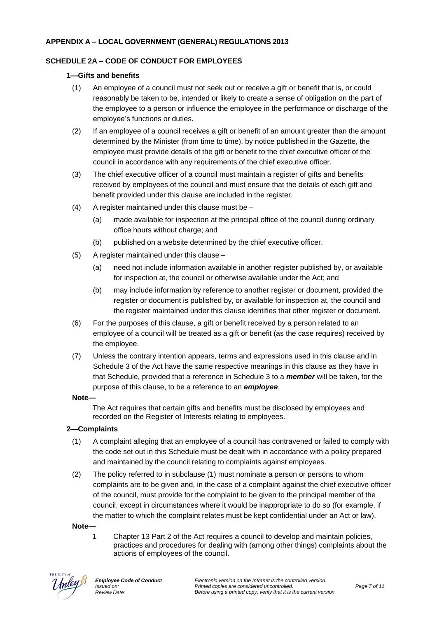#### **APPENDIX A – LOCAL GOVERNMENT (GENERAL) REGULATIONS 2013**

### **SCHEDULE 2A – CODE OF CONDUCT FOR EMPLOYEES**

#### **1—Gifts and benefits**

- (1) An employee of a council must not seek out or receive a gift or benefit that is, or could reasonably be taken to be, intended or likely to create a sense of obligation on the part of the employee to a person or influence the employee in the performance or discharge of the employee's functions or duties.
- (2) If an employee of a council receives a gift or benefit of an amount greater than the amount determined by the Minister (from time to time), by notice published in the Gazette, the employee must provide details of the gift or benefit to the chief executive officer of the council in accordance with any requirements of the chief executive officer.
- (3) The chief executive officer of a council must maintain a register of gifts and benefits received by employees of the council and must ensure that the details of each gift and benefit provided under this clause are included in the register.
- $(4)$  A register maintained under this clause must be
	- (a) made available for inspection at the principal office of the council during ordinary office hours without charge; and
	- (b) published on a website determined by the chief executive officer.
- (5) A register maintained under this clause
	- (a) need not include information available in another register published by, or available for inspection at, the council or otherwise available under the Act; and
	- (b) may include information by reference to another register or document, provided the register or document is published by, or available for inspection at, the council and the register maintained under this clause identifies that other register or document.
- (6) For the purposes of this clause, a gift or benefit received by a person related to an employee of a council will be treated as a gift or benefit (as the case requires) received by the employee.
- (7) Unless the contrary intention appears, terms and expressions used in this clause and in Schedule 3 of the Act have the same respective meanings in this clause as they have in that Schedule, provided that a reference in Schedule 3 to a *member* will be taken, for the purpose of this clause, to be a reference to an *employee*.

#### **Note—**

The Act requires that certain gifts and benefits must be disclosed by employees and recorded on the Register of Interests relating to employees.

### **2—Complaints**

- (1) A complaint alleging that an employee of a council has contravened or failed to comply with the code set out in this Schedule must be dealt with in accordance with a policy prepared and maintained by the council relating to complaints against employees.
- (2) The policy referred to in subclause (1) must nominate a person or persons to whom complaints are to be given and, in the case of a complaint against the chief executive officer of the council, must provide for the complaint to be given to the principal member of the council, except in circumstances where it would be inappropriate to do so (for example, if the matter to which the complaint relates must be kept confidential under an Act or law).

#### **Note—**

1 Chapter 13 Part 2 of the Act requires a council to develop and maintain policies, practices and procedures for dealing with (among other things) complaints about the actions of employees of the council.

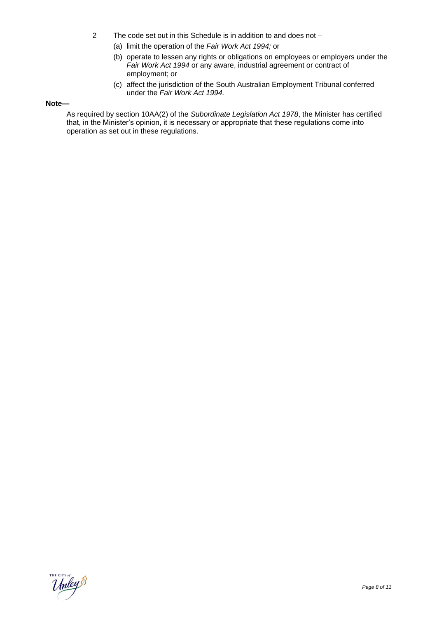- 2 The code set out in this Schedule is in addition to and does not
	- (a) limit the operation of the *Fair Work Act 1994;* or
	- (b) operate to lessen any rights or obligations on employees or employers under the *Fair Work Act 1994* or any aware, industrial agreement or contract of employment; or
	- (c) affect the jurisdiction of the South Australian Employment Tribunal conferred under the *Fair Work Act 1994.*

#### **Note—**

As required by section 10AA(2) of the *Subordinate Legislation Act 1978*, the Minister has certified that, in the Minister's opinion, it is necessary or appropriate that these regulations come into operation as set out in these regulations.

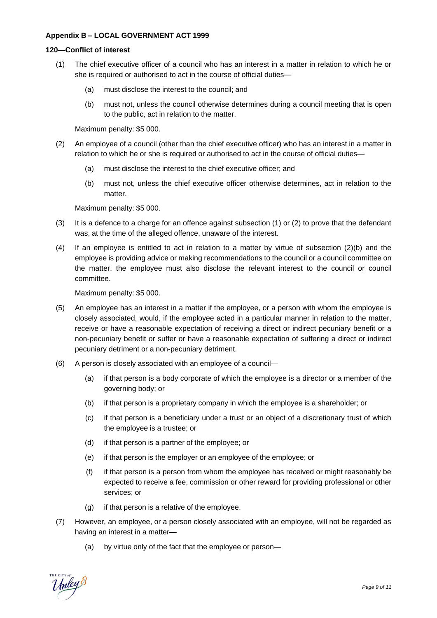#### **Appendix B – LOCAL GOVERNMENT ACT 1999**

#### **120—Conflict of interest**

- (1) The chief executive officer of a council who has an interest in a matter in relation to which he or she is required or authorised to act in the course of official duties—
	- (a) must disclose the interest to the council; and
	- (b) must not, unless the council otherwise determines during a council meeting that is open to the public, act in relation to the matter.

Maximum penalty: \$5 000.

- (2) An employee of a council (other than the chief executive officer) who has an interest in a matter in relation to which he or she is required or authorised to act in the course of official duties—
	- (a) must disclose the interest to the chief executive officer; and
	- (b) must not, unless the chief executive officer otherwise determines, act in relation to the matter.

Maximum penalty: \$5 000.

- (3) It is a defence to a charge for an offence against subsection (1) or (2) to prove that the defendant was, at the time of the alleged offence, unaware of the interest.
- (4) If an employee is entitled to act in relation to a matter by virtue of subsection (2)(b) and the employee is providing advice or making recommendations to the council or a council committee on the matter, the employee must also disclose the relevant interest to the council or council committee.

Maximum penalty: \$5 000.

- (5) An employee has an interest in a matter if the employee, or a person with whom the employee is closely associated, would, if the employee acted in a particular manner in relation to the matter, receive or have a reasonable expectation of receiving a direct or indirect pecuniary benefit or a non-pecuniary benefit or suffer or have a reasonable expectation of suffering a direct or indirect pecuniary detriment or a non-pecuniary detriment.
- (6) A person is closely associated with an employee of a council—
	- (a) if that person is a body corporate of which the employee is a director or a member of the governing body; or
	- (b) if that person is a proprietary company in which the employee is a shareholder; or
	- (c) if that person is a beneficiary under a trust or an object of a discretionary trust of which the employee is a trustee; or
	- (d) if that person is a partner of the employee; or
	- (e) if that person is the employer or an employee of the employee; or
	- (f) if that person is a person from whom the employee has received or might reasonably be expected to receive a fee, commission or other reward for providing professional or other services; or
	- (g) if that person is a relative of the employee.
- (7) However, an employee, or a person closely associated with an employee, will not be regarded as having an interest in a matter—
	- (a) by virtue only of the fact that the employee or person—

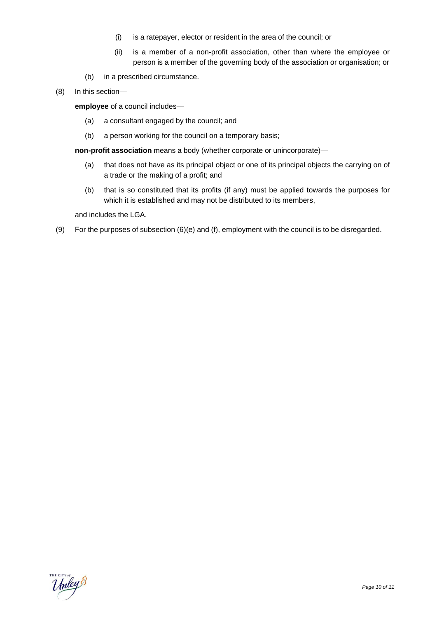- (i) is a ratepayer, elector or resident in the area of the council; or
- (ii) is a member of a non-profit association, other than where the employee or person is a member of the governing body of the association or organisation; or
- (b) in a prescribed circumstance.
- (8) In this section—

**employee** of a council includes—

- (a) a consultant engaged by the council; and
- (b) a person working for the council on a temporary basis;

**non-profit association** means a body (whether corporate or unincorporate)—

- (a) that does not have as its principal object or one of its principal objects the carrying on of a trade or the making of a profit; and
- (b) that is so constituted that its profits (if any) must be applied towards the purposes for which it is established and may not be distributed to its members,

and includes the LGA.

(9) For the purposes of subsection (6)(e) and (f), employment with the council is to be disregarded.